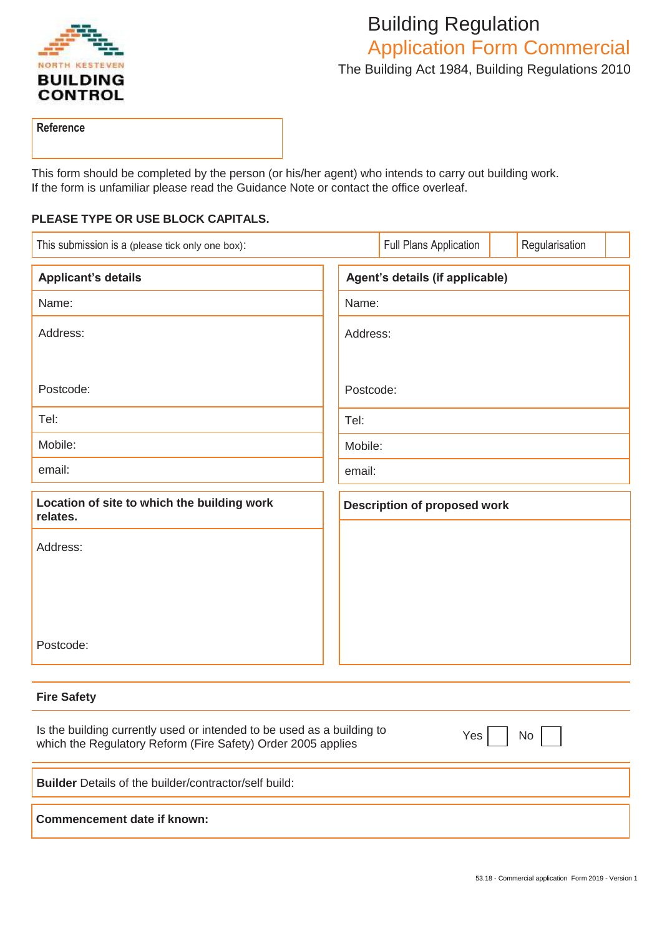

# Building Regulation Application Form Commercial The Building Act 1984, Building Regulations 2010

**Reference**

This form should be completed by the person (or his/her agent) who intends to carry out building work. If the form is unfamiliar please read the Guidance Note or contact the office overleaf.

## **PLEASE TYPE OR USE BLOCK CAPITALS.**

| This submission is a (please tick only one box):        |  |                                     | Full Plans Application |  | Regularisation |  |
|---------------------------------------------------------|--|-------------------------------------|------------------------|--|----------------|--|
| <b>Applicant's details</b>                              |  | Agent's details (if applicable)     |                        |  |                |  |
| Name:                                                   |  | Name:                               |                        |  |                |  |
| Address:                                                |  | Address:                            |                        |  |                |  |
| Postcode:                                               |  | Postcode:                           |                        |  |                |  |
| Tel:                                                    |  | Tel:                                |                        |  |                |  |
| Mobile:                                                 |  | Mobile:                             |                        |  |                |  |
| email:                                                  |  | email:                              |                        |  |                |  |
| Location of site to which the building work<br>relates. |  | <b>Description of proposed work</b> |                        |  |                |  |
| Address:                                                |  |                                     |                        |  |                |  |
|                                                         |  |                                     |                        |  |                |  |
| Postcode:                                               |  |                                     |                        |  |                |  |

# **Fire Safety**

| Is the building currently used or intended to be used as a building to<br>which the Regulatory Reform (Fire Safety) Order 2005 applies | No<br>Yes |
|----------------------------------------------------------------------------------------------------------------------------------------|-----------|
| <b>Builder</b> Details of the builder/contractor/self build:                                                                           |           |
| Commencement date if known:                                                                                                            |           |